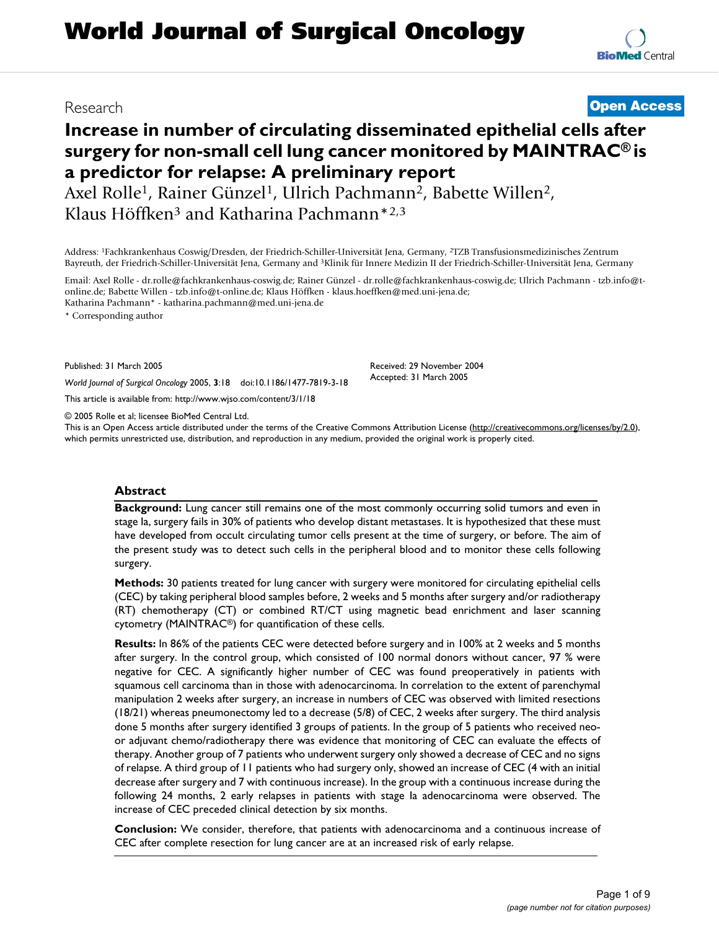# **Increase in number of circulating disseminated epithelial cells after surgery for non-small cell lung cancer monitored by MAINTRAC® is a predictor for relapse: A preliminary report**

Axel Rolle<sup>1</sup>, Rainer Günzel<sup>1</sup>, Ulrich Pachmann<sup>2</sup>, Babette Willen<sup>2</sup>, Klaus Höffken3 and Katharina Pachmann\*2,3

Address: 1Fachkrankenhaus Coswig/Dresden, der Friedrich-Schiller-Universität Jena, Germany, 2TZB Transfusionsmedizinisches Zentrum Bayreuth, der Friedrich-Schiller-Universität Jena, Germany and 3Klinik für Innere Medizin II der Friedrich-Schiller-Universität Jena, Germany

Email: Axel Rolle - dr.rolle@fachkrankenhaus-coswig.de; Rainer Günzel - dr.rolle@fachkrankenhaus-coswig.de; Ulrich Pachmann - tzb.info@tonline.de; Babette Willen - tzb.info@t-online.de; Klaus Höffken - klaus.hoeffken@med.uni-jena.de; Katharina Pachmann\* - katharina.pachmann@med.uni-jena.de

\* Corresponding author

Published: 31 March 2005

*World Journal of Surgical Oncology* 2005, **3**:18 doi:10.1186/1477-7819-3-18

[This article is available from: http://www.wjso.com/content/3/1/18](http://www.wjso.com/content/3/1/18)

© 2005 Rolle et al; licensee BioMed Central Ltd.

This is an Open Access article distributed under the terms of the Creative Commons Attribution License [\(http://creativecommons.org/licenses/by/2.0\)](http://creativecommons.org/licenses/by/2.0), which permits unrestricted use, distribution, and reproduction in any medium, provided the original work is properly cited.

### **Abstract**

**Background:** Lung cancer still remains one of the most commonly occurring solid tumors and even in stage Ia, surgery fails in 30% of patients who develop distant metastases. It is hypothesized that these must have developed from occult circulating tumor cells present at the time of surgery, or before. The aim of the present study was to detect such cells in the peripheral blood and to monitor these cells following surgery.

**Methods:** 30 patients treated for lung cancer with surgery were monitored for circulating epithelial cells (CEC) by taking peripheral blood samples before, 2 weeks and 5 months after surgery and/or radiotherapy (RT) chemotherapy (CT) or combined RT/CT using magnetic bead enrichment and laser scanning cytometry (MAINTRAC®) for quantification of these cells.

**Results:** In 86% of the patients CEC were detected before surgery and in 100% at 2 weeks and 5 months after surgery. In the control group, which consisted of 100 normal donors without cancer, 97 % were negative for CEC. A significantly higher number of CEC was found preoperatively in patients with squamous cell carcinoma than in those with adenocarcinoma. In correlation to the extent of parenchymal manipulation 2 weeks after surgery, an increase in numbers of CEC was observed with limited resections (18/21) whereas pneumonectomy led to a decrease (5/8) of CEC, 2 weeks after surgery. The third analysis done 5 months after surgery identified 3 groups of patients. In the group of 5 patients who received neoor adjuvant chemo/radiotherapy there was evidence that monitoring of CEC can evaluate the effects of therapy. Another group of 7 patients who underwent surgery only showed a decrease of CEC and no signs of relapse. A third group of 11 patients who had surgery only, showed an increase of CEC (4 with an initial decrease after surgery and 7 with continuous increase). In the group with a continuous increase during the following 24 months, 2 early relapses in patients with stage Ia adenocarcinoma were observed. The increase of CEC preceded clinical detection by six months.

**Conclusion:** We consider, therefore, that patients with adenocarcinoma and a continuous increase of CEC after complete resection for lung cancer are at an increased risk of early relapse.

# Research **[Open Access](http://www.biomedcentral.com/info/about/charter/)**

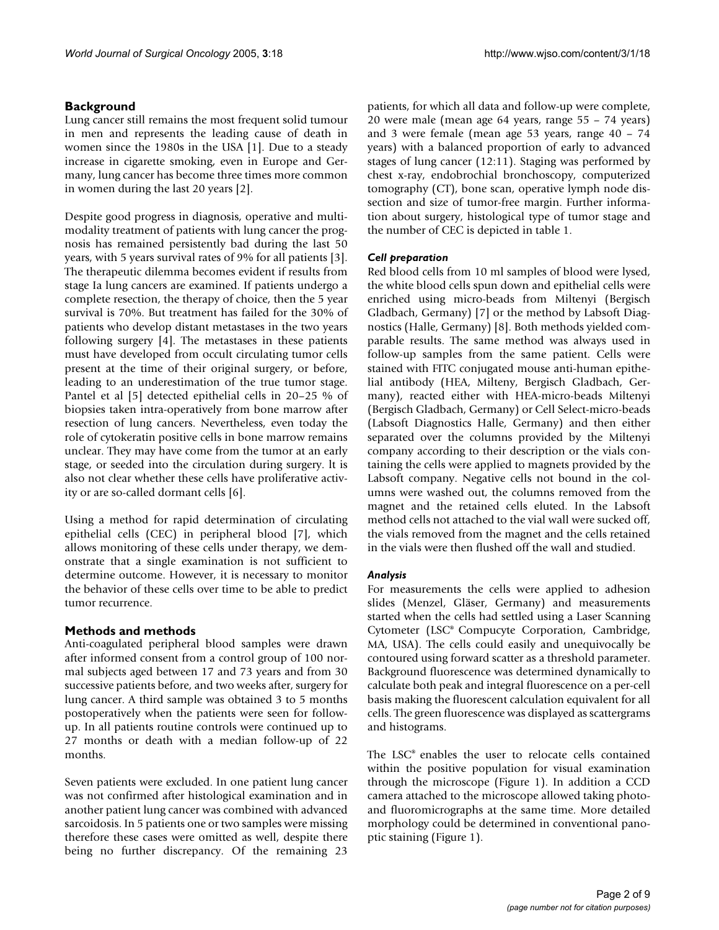# **Background**

Lung cancer still remains the most frequent solid tumour in men and represents the leading cause of death in women since the 1980s in the USA [1]. Due to a steady increase in cigarette smoking, even in Europe and Germany, lung cancer has become three times more common in women during the last 20 years [2].

Despite good progress in diagnosis, operative and multimodality treatment of patients with lung cancer the prognosis has remained persistently bad during the last 50 years, with 5 years survival rates of 9% for all patients [3]. The therapeutic dilemma becomes evident if results from stage Ia lung cancers are examined. If patients undergo a complete resection, the therapy of choice, then the 5 year survival is 70%. But treatment has failed for the 30% of patients who develop distant metastases in the two years following surgery [4]. The metastases in these patients must have developed from occult circulating tumor cells present at the time of their original surgery, or before, leading to an underestimation of the true tumor stage. Pantel et al [5] detected epithelial cells in 20–25 % of biopsies taken intra-operatively from bone marrow after resection of lung cancers. Nevertheless, even today the role of cytokeratin positive cells in bone marrow remains unclear. They may have come from the tumor at an early stage, or seeded into the circulation during surgery. lt is also not clear whether these cells have proliferative activity or are so-called dormant cells [6].

Using a method for rapid determination of circulating epithelial cells (CEC) in peripheral blood [7], which allows monitoring of these cells under therapy, we demonstrate that a single examination is not sufficient to determine outcome. However, it is necessary to monitor the behavior of these cells over time to be able to predict tumor recurrence.

# **Methods and methods**

Anti-coagulated peripheral blood samples were drawn after informed consent from a control group of 100 normal subjects aged between 17 and 73 years and from 30 successive patients before, and two weeks after, surgery for lung cancer. A third sample was obtained 3 to 5 months postoperatively when the patients were seen for followup. In all patients routine controls were continued up to 27 months or death with a median follow-up of 22 months.

Seven patients were excluded. In one patient lung cancer was not confirmed after histological examination and in another patient lung cancer was combined with advanced sarcoidosis. In 5 patients one or two samples were missing therefore these cases were omitted as well, despite there being no further discrepancy. Of the remaining 23

patients, for which all data and follow-up were complete, 20 were male (mean age 64 years, range 55 – 74 years) and 3 were female (mean age 53 years, range 40 – 74 years) with a balanced proportion of early to advanced stages of lung cancer (12:11). Staging was performed by chest x-ray, endobrochial bronchoscopy, computerized tomography (CT), bone scan, operative lymph node dissection and size of tumor-free margin. Further information about surgery, histological type of tumor stage and the number of CEC is depicted in table [1.](#page-2-0)

# *Cell preparation*

Red blood cells from 10 ml samples of blood were lysed, the white blood cells spun down and epithelial cells were enriched using micro-beads from Miltenyi (Bergisch Gladbach, Germany) [7] or the method by Labsoft Diagnostics (Halle, Germany) [8]. Both methods yielded comparable results. The same method was always used in follow-up samples from the same patient. Cells were stained with FITC conjugated mouse anti-human epithelial antibody (HEA, Milteny, Bergisch Gladbach, Germany), reacted either with HEA-micro-beads Miltenyi (Bergisch Gladbach, Germany) or Cell Select-micro-beads (Labsoft Diagnostics Halle, Germany) and then either separated over the columns provided by the Miltenyi company according to their description or the vials containing the cells were applied to magnets provided by the Labsoft company. Negative cells not bound in the columns were washed out, the columns removed from the magnet and the retained cells eluted. In the Labsoft method cells not attached to the vial wall were sucked off, the vials removed from the magnet and the cells retained in the vials were then flushed off the wall and studied.

# *Analysis*

For measurements the cells were applied to adhesion slides (Menzel, Gläser, Germany) and measurements started when the cells had settled using a Laser Scanning Cytometer (LSC® Compucyte Corporation, Cambridge, MA, USA). The cells could easily and unequivocally be contoured using forward scatter as a threshold parameter. Background fluorescence was determined dynamically to calculate both peak and integral fluorescence on a per-cell basis making the fluorescent calculation equivalent for all cells. The green fluorescence was displayed as scattergrams and histograms.

The LSC® enables the user to relocate cells contained within the positive population for visual examination through the microscope (Figure 1). In addition a CCD camera attached to the microscope allowed taking photoand fluoromicrographs at the same time. More detailed morphology could be determined in conventional panoptic staining (Figure 1).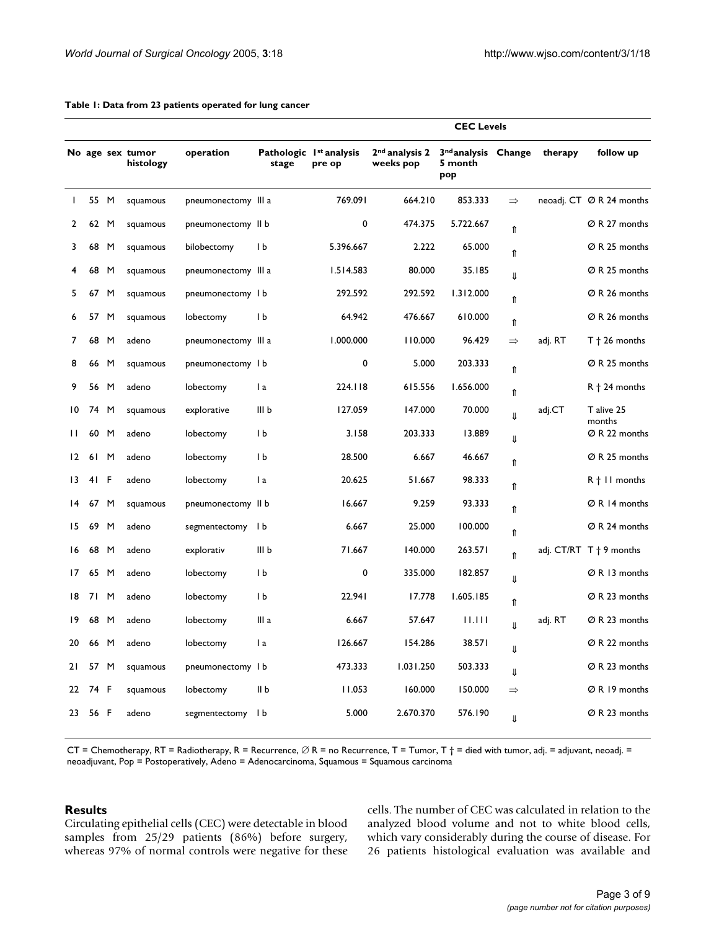|                 |      |   |                               |                     |                                              |           | <b>CEC Levels</b>                       |                                                   |               |         |                                   |
|-----------------|------|---|-------------------------------|---------------------|----------------------------------------------|-----------|-----------------------------------------|---------------------------------------------------|---------------|---------|-----------------------------------|
|                 |      |   | No age sex tumor<br>histology | operation           | Pathologic 1 <sup>st</sup> analysis<br>stage | pre op    | 2 <sup>nd</sup> analysis 2<br>weeks pop | 3 <sup>nd</sup> analysis Change<br>5 month<br>pop |               | therapy | follow up                         |
| $\mathbf{I}$    | 55 M |   | squamous                      | pneumonectomy III a |                                              | 769.091   | 664.210                                 | 853.333                                           | $\Rightarrow$ |         | neoadj. CT ØR 24 months           |
| 2               | 62 M |   | squamous                      | pneumonectomy II b  |                                              | 0         | 474.375                                 | 5.722.667                                         | ⇑             |         | Ø R 27 months                     |
| 3               | 68   | M | squamous                      | bilobectomy         | I b                                          | 5.396.667 | 2.222                                   | 65.000                                            | ⇑             |         | Ø R 25 months                     |
| 4               | 68   | M | squamous                      | pneumonectomy III a |                                              | 1.514.583 | 80.000                                  | 35.185                                            | ⇓             |         | Ø R 25 months                     |
| 5               | 67 M |   | squamous                      | pneumonectomy I b   |                                              | 292.592   | 292.592                                 | 1.312.000                                         | ⇑             |         | Ø R 26 months                     |
| 6               | 57 M |   | squamous                      | lobectomy           | I b                                          | 64.942    | 476.667                                 | 610.000                                           | ⇑             |         | ØR 26 months                      |
| 7               | 68   | M | adeno                         | pneumonectomy III a |                                              | 1.000.000 | 110.000                                 | 96.429                                            | $\Rightarrow$ | adj. RT | $T$ + 26 months                   |
| 8               | 66 M |   | squamous                      | pneumonectomy I b   |                                              | 0         | 5.000                                   | 203.333                                           | ⇑             |         | Ø R 25 months                     |
| 9               | 56 M |   | adeno                         | lobectomy           | l a                                          | 224.118   | 615.556                                 | 1.656.000                                         | ⇑             |         | $R$ + 24 months                   |
| $\overline{10}$ | 74 M |   | squamous                      | explorative         | III b                                        | 127.059   | 147.000                                 | 70.000                                            | JL            | adj.CT  | T alive 25<br>months              |
| $\mathbf{H}$    | 60 M |   | adeno                         | lobectomy           | Ib                                           | 3.158     | 203.333                                 | 13.889                                            | ⇓             |         | Ø R 22 months                     |
| $12 \,$         | 61 M |   | adeno                         | lobectomy           | IЬ                                           | 28.500    | 6.667                                   | 46.667                                            | ⇑             |         | Ø R 25 months                     |
| $\overline{13}$ | 41 F |   | adeno                         | lobectomy           | $\mathsf{I}$ a                               | 20.625    | 51.667                                  | 98.333                                            | ⇑             |         | $R + II$ months                   |
| $\overline{14}$ | 67 M |   | squamous                      | pneumonectomy II b  |                                              | 16.667    | 9.259                                   | 93.333                                            | ⇑             |         | ØR 14 months                      |
| 15              | 69   | M | adeno                         | segmentectomy       | l b                                          | 6.667     | 25.000                                  | 100.000                                           | ⇑             |         | Ø R 24 months                     |
| 16              | 68   | M | adeno                         | explorativ          | III <sub>b</sub>                             | 71.667    | 140.000                                 | 263.571                                           | ⇑             |         | adj. $CT/RT$ T $\dagger$ 9 months |
| 17              | 65 M |   | adeno                         | lobectomy           | I b                                          | 0         | 335.000                                 | 182.857                                           | ⇓             |         | ØR 13 months                      |
| 18              | 71 M |   | adeno                         | lobectomy           | 1 <sub>b</sub>                               | 22.941    | 17.778                                  | 1.605.185                                         | ⇑             |         | Ø R 23 months                     |
| 9               | 68   | M | adeno                         | lobectomy           | III a                                        | 6.667     | 57.647                                  | 11.111                                            | $\downarrow$  | adj. RT | Ø R 23 months                     |
| 20              | 66 M |   | adeno                         | lobectomy           | l a                                          | 126.667   | 154.286                                 | 38.571                                            | ⇓             |         | Ø R 22 months                     |
| 21              | 57 M |   | squamous                      | pneumonectomy I b   |                                              | 473.333   | 1.031.250                               | 503.333                                           | ⇓             |         | Ø R 23 months                     |
| 22              | 74 F |   | squamous                      | lobectomy           | II b                                         | 11.053    | 160.000                                 | 150.000                                           | $\Rightarrow$ |         | ØR 19 months                      |
| 23              | 56 F |   | adeno                         | segmentectomy I b   |                                              | 5.000     | 2.670.370                               | 576.190                                           | ⇓             |         | Ø R 23 months                     |

#### <span id="page-2-0"></span>**Table 1: Data from 23 patients operated for lung cancer**

CT = Chemotherapy, RT = Radiotherapy, R = Recurrence, ∅ R = no Recurrence, T = Tumor, T † = died with tumor, adj. = adjuvant, neoadj. = neoadjuvant, Pop = Postoperatively, Adeno = Adenocarcinoma, Squamous = Squamous carcinoma

#### **Results**

Circulating epithelial cells (CEC) were detectable in blood samples from 25/29 patients (86%) before surgery, whereas 97% of normal controls were negative for these cells. The number of CEC was calculated in relation to the analyzed blood volume and not to white blood cells, which vary considerably during the course of disease. For 26 patients histological evaluation was available and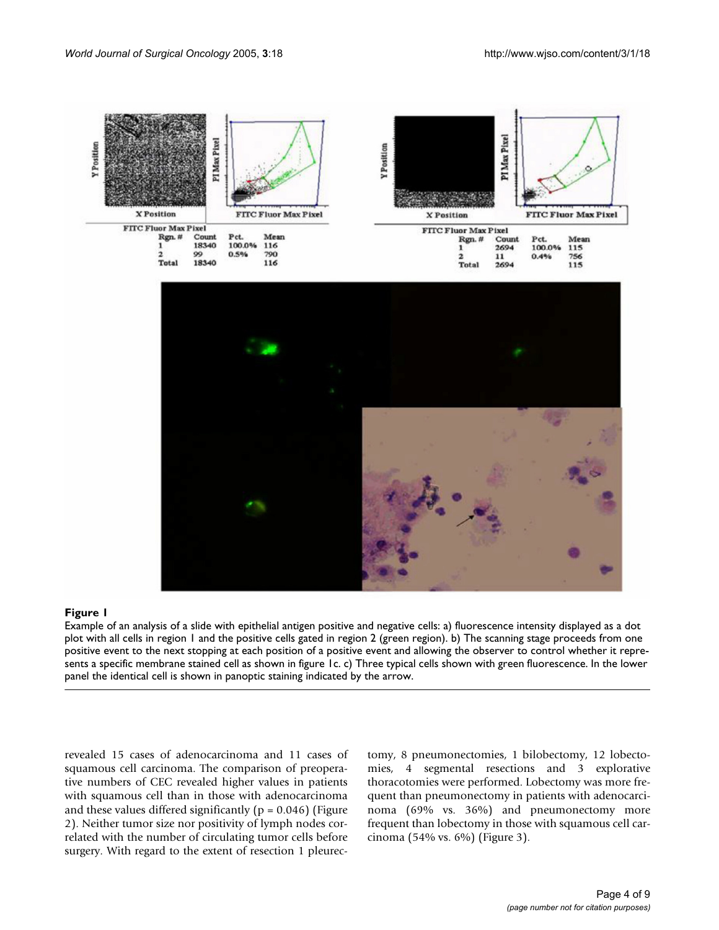

## Figure 1 and 2008 and 2008 and 2008 and 2008 and 2008 and 2008 and 2008 and 2008 and 2008 and 2008 and 2008 an

Example of an analysis of a slide with epithelial antigen positive and negative cells: a) fluorescence intensity displayed as a dot plot with all cells in region 1 and the positive cells gated in region 2 (green region). b) The scanning stage proceeds from one positive event to the next stopping at each position of a positive event and allowing the observer to control whether it represents a specific membrane stained cell as shown in figure 1c. c) Three typical cells shown with green fluorescence. In the lower panel the identical cell is shown in panoptic staining indicated by the arrow.

revealed 15 cases of adenocarcinoma and 11 cases of squamous cell carcinoma. The comparison of preoperative numbers of CEC revealed higher values in patients with squamous cell than in those with adenocarcinoma and these values differed significantly ( $p = 0.046$ ) (Figure 2). Neither tumor size nor positivity of lymph nodes correlated with the number of circulating tumor cells before surgery. With regard to the extent of resection 1 pleurectomy, 8 pneumonectomies, 1 bilobectomy, 12 lobectomies, 4 segmental resections and 3 explorative thoracotomies were performed. Lobectomy was more frequent than pneumonectomy in patients with adenocarcinoma (69% vs. 36%) and pneumonectomy more frequent than lobectomy in those with squamous cell carcinoma (54% vs. 6%) (Figure 3).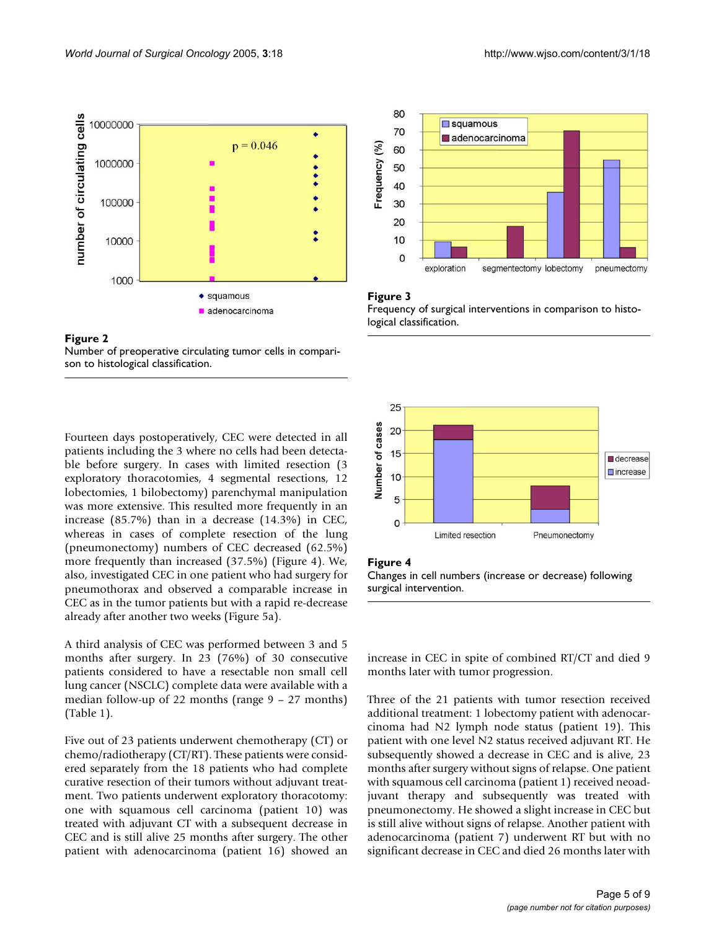



Fourteen days postoperatively, CEC were detected in all patients including the 3 where no cells had been detectable before surgery. In cases with limited resection (3 exploratory thoracotomies, 4 segmental resections, 12 lobectomies, 1 bilobectomy) parenchymal manipulation was more extensive. This resulted more frequently in an increase (85.7%) than in a decrease (14.3%) in CEC, whereas in cases of complete resection of the lung (pneumonectomy) numbers of CEC decreased (62.5%) more frequently than increased (37.5%) (Figure 4). We, also, investigated CEC in one patient who had surgery for pneumothorax and observed a comparable increase in CEC as in the tumor patients but with a rapid re-decrease already after another two weeks (Figure 5a).

A third analysis of CEC was performed between 3 and 5 months after surgery. In 23 (76%) of 30 consecutive patients considered to have a resectable non small cell lung cancer (NSCLC) complete data were available with a median follow-up of 22 months (range 9 – 27 months) (Table [1\)](#page-2-0).

Five out of 23 patients underwent chemotherapy (CT) or chemo/radiotherapy (CT/RT). These patients were considered separately from the 18 patients who had complete curative resection of their tumors without adjuvant treatment. Two patients underwent exploratory thoracotomy: one with squamous cell carcinoma (patient 10) was treated with adjuvant CT with a subsequent decrease in CEC and is still alive 25 months after surgery. The other patient with adenocarcinoma (patient 16) showed an



#### Figure 3

Frequency of surgical interventions in comparison to histological classification.



#### Figure 4

Changes in cell numbers (increase or decrease) following surgical intervention.

increase in CEC in spite of combined RT/CT and died 9 months later with tumor progression.

Three of the 21 patients with tumor resection received additional treatment: 1 lobectomy patient with adenocarcinoma had N2 lymph node status (patient 19). This patient with one level N2 status received adjuvant RT. He subsequently showed a decrease in CEC and is alive, 23 months after surgery without signs of relapse. One patient with squamous cell carcinoma (patient 1) received neoadjuvant therapy and subsequently was treated with pneumonectomy. He showed a slight increase in CEC but is still alive without signs of relapse. Another patient with adenocarcinoma (patient 7) underwent RT but with no significant decrease in CEC and died 26 months later with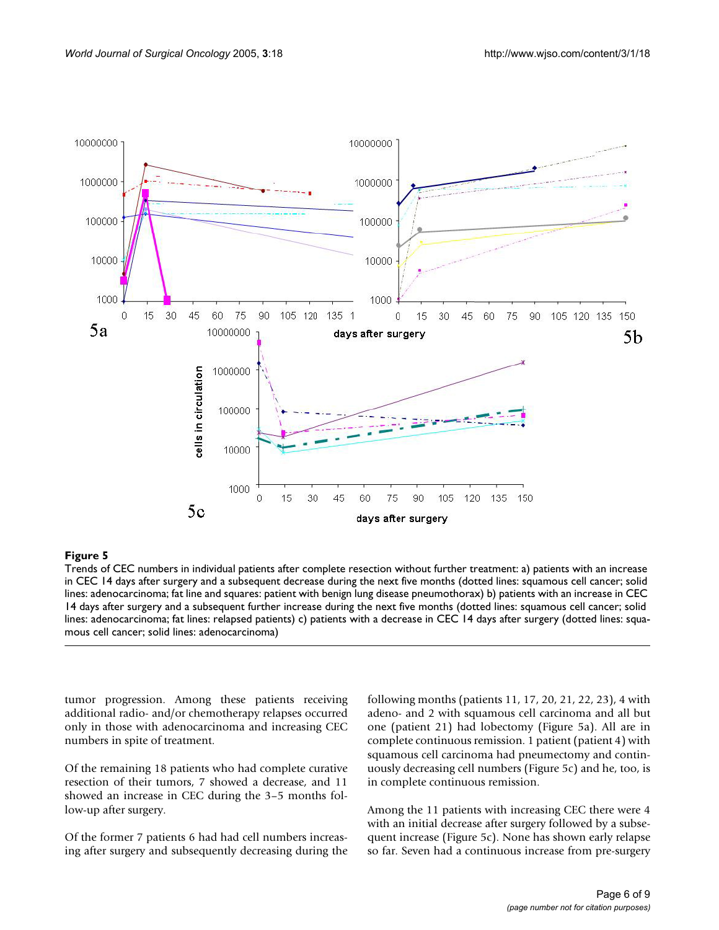

#### Trends of CEC numbers in indivi **Figure 5** dual patients after complete resection without further treatment

Trends of CEC numbers in individual patients after complete resection without further treatment: a) patients with an increase in CEC 14 days after surgery and a subsequent decrease during the next five months (dotted lines: squamous cell cancer; solid lines: adenocarcinoma; fat line and squares: patient with benign lung disease pneumothorax) b) patients with an increase in CEC 14 days after surgery and a subsequent further increase during the next five months (dotted lines: squamous cell cancer; solid lines: adenocarcinoma; fat lines: relapsed patients) c) patients with a decrease in CEC 14 days after surgery (dotted lines: squamous cell cancer; solid lines: adenocarcinoma)

tumor progression. Among these patients receiving additional radio- and/or chemotherapy relapses occurred only in those with adenocarcinoma and increasing CEC numbers in spite of treatment.

Of the remaining 18 patients who had complete curative resection of their tumors, 7 showed a decrease, and 11 showed an increase in CEC during the 3–5 months follow-up after surgery.

Of the former 7 patients 6 had had cell numbers increasing after surgery and subsequently decreasing during the following months (patients 11, 17, 20, 21, 22, 23), 4 with adeno- and 2 with squamous cell carcinoma and all but one (patient 21) had lobectomy (Figure 5a). All are in complete continuous remission. 1 patient (patient 4) with squamous cell carcinoma had pneumectomy and continuously decreasing cell numbers (Figure 5c) and he, too, is in complete continuous remission.

Among the 11 patients with increasing CEC there were 4 with an initial decrease after surgery followed by a subsequent increase (Figure 5c). None has shown early relapse so far. Seven had a continuous increase from pre-surgery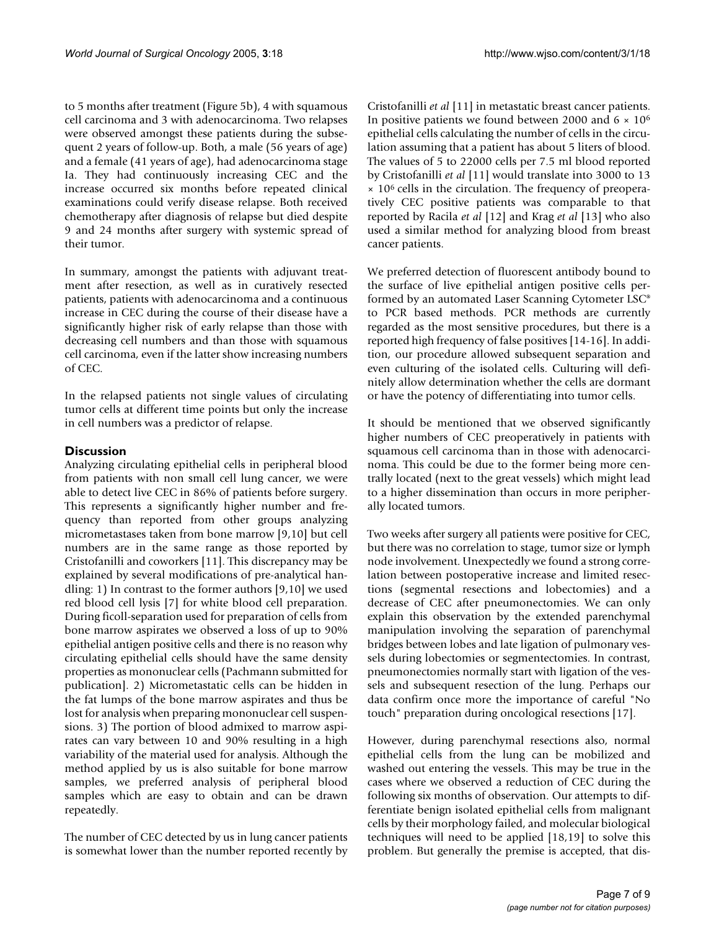to 5 months after treatment (Figure 5b), 4 with squamous cell carcinoma and 3 with adenocarcinoma. Two relapses were observed amongst these patients during the subsequent 2 years of follow-up. Both, a male (56 years of age) and a female (41 years of age), had adenocarcinoma stage Ia. They had continuously increasing CEC and the increase occurred six months before repeated clinical examinations could verify disease relapse. Both received chemotherapy after diagnosis of relapse but died despite 9 and 24 months after surgery with systemic spread of their tumor.

In summary, amongst the patients with adjuvant treatment after resection, as well as in curatively resected patients, patients with adenocarcinoma and a continuous increase in CEC during the course of their disease have a significantly higher risk of early relapse than those with decreasing cell numbers and than those with squamous cell carcinoma, even if the latter show increasing numbers of CEC.

In the relapsed patients not single values of circulating tumor cells at different time points but only the increase in cell numbers was a predictor of relapse.

# **Discussion**

Analyzing circulating epithelial cells in peripheral blood from patients with non small cell lung cancer, we were able to detect live CEC in 86% of patients before surgery. This represents a significantly higher number and frequency than reported from other groups analyzing micrometastases taken from bone marrow [9,10] but cell numbers are in the same range as those reported by Cristofanilli and coworkers [11]. This discrepancy may be explained by several modifications of pre-analytical handling: 1) In contrast to the former authors [9,10] we used red blood cell lysis [7] for white blood cell preparation. During ficoll-separation used for preparation of cells from bone marrow aspirates we observed a loss of up to 90% epithelial antigen positive cells and there is no reason why circulating epithelial cells should have the same density properties as mononuclear cells (Pachmann submitted for publication]. 2) Micrometastatic cells can be hidden in the fat lumps of the bone marrow aspirates and thus be lost for analysis when preparing mononuclear cell suspensions. 3) The portion of blood admixed to marrow aspirates can vary between 10 and 90% resulting in a high variability of the material used for analysis. Although the method applied by us is also suitable for bone marrow samples, we preferred analysis of peripheral blood samples which are easy to obtain and can be drawn repeatedly.

The number of CEC detected by us in lung cancer patients is somewhat lower than the number reported recently by Cristofanilli *et al* [11] in metastatic breast cancer patients. In positive patients we found between 2000 and  $6 \times 10^6$ epithelial cells calculating the number of cells in the circulation assuming that a patient has about 5 liters of blood. The values of 5 to 22000 cells per 7.5 ml blood reported by Cristofanilli *et al* [11] would translate into 3000 to 13 × 106 cells in the circulation. The frequency of preoperatively CEC positive patients was comparable to that reported by Racila *et al* [12] and Krag *et al* [13] who also used a similar method for analyzing blood from breast cancer patients.

We preferred detection of fluorescent antibody bound to the surface of live epithelial antigen positive cells performed by an automated Laser Scanning Cytometer LSC® to PCR based methods. PCR methods are currently regarded as the most sensitive procedures, but there is a reported high frequency of false positives [14-16]. In addition, our procedure allowed subsequent separation and even culturing of the isolated cells. Culturing will definitely allow determination whether the cells are dormant or have the potency of differentiating into tumor cells.

It should be mentioned that we observed significantly higher numbers of CEC preoperatively in patients with squamous cell carcinoma than in those with adenocarcinoma. This could be due to the former being more centrally located (next to the great vessels) which might lead to a higher dissemination than occurs in more peripherally located tumors.

Two weeks after surgery all patients were positive for CEC, but there was no correlation to stage, tumor size or lymph node involvement. Unexpectedly we found a strong correlation between postoperative increase and limited resections (segmental resections and lobectomies) and a decrease of CEC after pneumonectomies. We can only explain this observation by the extended parenchymal manipulation involving the separation of parenchymal bridges between lobes and late ligation of pulmonary vessels during lobectomies or segmentectomies. In contrast, pneumonectomies normally start with ligation of the vessels and subsequent resection of the lung. Perhaps our data confirm once more the importance of careful "No touch" preparation during oncological resections [17].

However, during parenchymal resections also, normal epithelial cells from the lung can be mobilized and washed out entering the vessels. This may be true in the cases where we observed a reduction of CEC during the following six months of observation. Our attempts to differentiate benign isolated epithelial cells from malignant cells by their morphology failed, and molecular biological techniques will need to be applied [18,19] to solve this problem. But generally the premise is accepted, that dis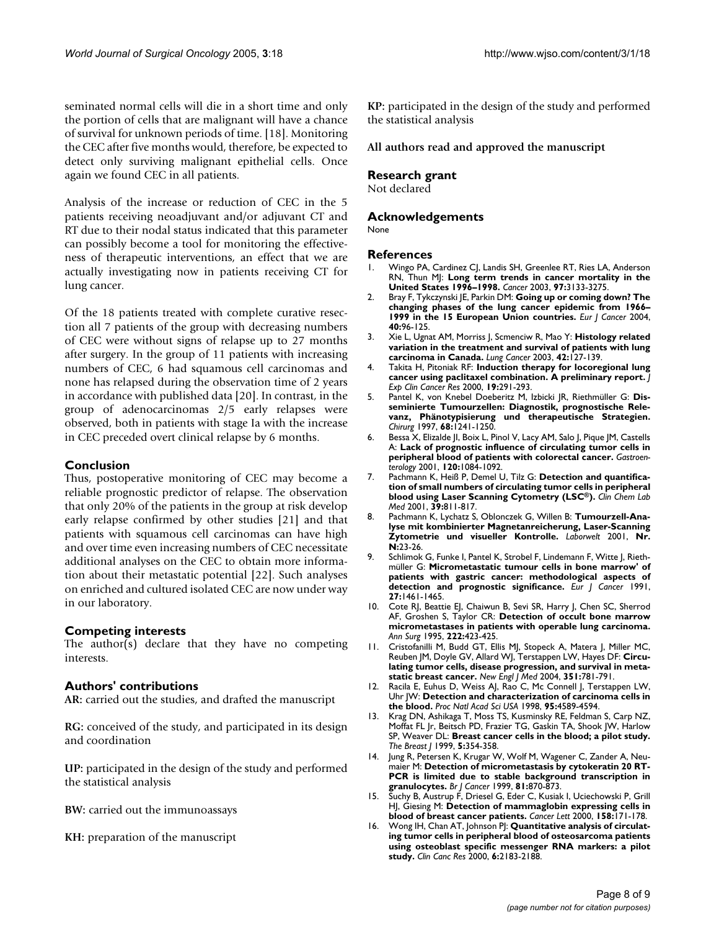seminated normal cells will die in a short time and only the portion of cells that are malignant will have a chance of survival for unknown periods of time. [18]. Monitoring the CEC after five months would, therefore, be expected to detect only surviving malignant epithelial cells. Once again we found CEC in all patients.

Analysis of the increase or reduction of CEC in the 5 patients receiving neoadjuvant and/or adjuvant CT and RT due to their nodal status indicated that this parameter can possibly become a tool for monitoring the effectiveness of therapeutic interventions, an effect that we are actually investigating now in patients receiving CT for lung cancer.

Of the 18 patients treated with complete curative resection all 7 patients of the group with decreasing numbers of CEC were without signs of relapse up to 27 months after surgery. In the group of 11 patients with increasing numbers of CEC, 6 had squamous cell carcinomas and none has relapsed during the observation time of 2 years in accordance with published data [20]. In contrast, in the group of adenocarcinomas 2/5 early relapses were observed, both in patients with stage Ia with the increase in CEC preceded overt clinical relapse by 6 months.

### **Conclusion**

Thus, postoperative monitoring of CEC may become a reliable prognostic predictor of relapse. The observation that only 20% of the patients in the group at risk develop early relapse confirmed by other studies [21] and that patients with squamous cell carcinomas can have high and over time even increasing numbers of CEC necessitate additional analyses on the CEC to obtain more information about their metastatic potential [22]. Such analyses on enriched and cultured isolated CEC are now under way in our laboratory.

#### **Competing interests**

The author(s) declare that they have no competing interests.

# **Authors' contributions**

**AR:** carried out the studies, and drafted the manuscript

**RG:** conceived of the study, and participated in its design and coordination

**UP:** participated in the design of the study and performed the statistical analysis

**BW:** carried out the immunoassays

**KH:** preparation of the manuscript

**KP:** participated in the design of the study and performed the statistical analysis

#### **All authors read and approved the manuscript**

### **Research grant**

Not declared

# **Acknowledgements**

None

#### **References**

- 1. Wingo PA, Cardinez CJ, Landis SH, Greenlee RT, Ries LA, Anderson RN, Thun MJ: **[Long term trends in cancer mortality in the](http://www.ncbi.nlm.nih.gov/entrez/query.fcgi?cmd=Retrieve&db=PubMed&dopt=Abstract&list_uids=12784323) [United States 1996–1998.](http://www.ncbi.nlm.nih.gov/entrez/query.fcgi?cmd=Retrieve&db=PubMed&dopt=Abstract&list_uids=12784323)** *Cancer* 2003, **97:**3133-3275.
- 2. Bray F, Tykczynski JE, Parkin DM: **[Going up or coming down? The](http://www.ncbi.nlm.nih.gov/entrez/query.fcgi?cmd=Retrieve&db=PubMed&dopt=Abstract&list_uids=14687795) [changing phases of the lung cancer epidemic from 1966–](http://www.ncbi.nlm.nih.gov/entrez/query.fcgi?cmd=Retrieve&db=PubMed&dopt=Abstract&list_uids=14687795) [1999 in the 15 European Union countries.](http://www.ncbi.nlm.nih.gov/entrez/query.fcgi?cmd=Retrieve&db=PubMed&dopt=Abstract&list_uids=14687795)** *Eur J Cancer* 2004, **40:**96-125.
- 3. Xie L, Ugnat AM, Morriss J, Scmenciw R, Mao Y: **[Histology related](http://www.ncbi.nlm.nih.gov/entrez/query.fcgi?cmd=Retrieve&db=PubMed&dopt=Abstract&list_uids=14568680) [variation in the treatment and survival of patients with lung](http://www.ncbi.nlm.nih.gov/entrez/query.fcgi?cmd=Retrieve&db=PubMed&dopt=Abstract&list_uids=14568680) [carcinoma in Canada.](http://www.ncbi.nlm.nih.gov/entrez/query.fcgi?cmd=Retrieve&db=PubMed&dopt=Abstract&list_uids=14568680)** *Lung Cancer* 2003, **42:**127-139.
- 4. Takita H, Pitoniak RF: **[Induction therapy for locoregional lung](http://www.ncbi.nlm.nih.gov/entrez/query.fcgi?cmd=Retrieve&db=PubMed&dopt=Abstract&list_uids=11144521) [cancer using paclitaxel combination. A preliminary report.](http://www.ncbi.nlm.nih.gov/entrez/query.fcgi?cmd=Retrieve&db=PubMed&dopt=Abstract&list_uids=11144521)** *J Exp Clin Cancer Res* 2000, **19:**291-293.
- 5. Pantel K, von Knebel Doeberitz M, Izbicki JR, Riethmüller G: **[Dis](http://www.ncbi.nlm.nih.gov/entrez/query.fcgi?cmd=Retrieve&db=PubMed&dopt=Abstract&list_uids=9483347)seminierte Tumourzellen: Diagnostik, prognostische Rele[vanz, Phänotypisierung und therapeutische Strategien.](http://www.ncbi.nlm.nih.gov/entrez/query.fcgi?cmd=Retrieve&db=PubMed&dopt=Abstract&list_uids=9483347)** *Chirurg* 1997, **68:**1241-1250.
- 6. Bessa X, Elizalde JI, Boix L, Pinol V, Lacy AM, Salo J, Pique JM, Castells A: **[Lack of prognostic influence of circulating tumor cells in](http://www.ncbi.nlm.nih.gov/entrez/query.fcgi?cmd=Retrieve&db=PubMed&dopt=Abstract&list_uids=11266372) [peripheral blood of patients with colorectal cancer.](http://www.ncbi.nlm.nih.gov/entrez/query.fcgi?cmd=Retrieve&db=PubMed&dopt=Abstract&list_uids=11266372)** *Gastroenterology* 2001, **120:**1084-1092.
- Pachmann K, Heiß P, Demel U, Tilz G: Detection and quantifica**tion of small numbers of circulating tumor cells in peripheral blood using Laser Scanning Cytometry (LSC®[\).](http://www.ncbi.nlm.nih.gov/entrez/query.fcgi?cmd=Retrieve&db=PubMed&dopt=Abstract&list_uids=11601678)** *Clin Chem Lab Med* 2001, **39:**811-817.
- 8. Pachmann K, Lychatz S, Oblonczek G, Willen B: **Tumourzell-Analyse mit kombinierter Magnetanreicherung, Laser-Scanning Zytometrie und visueller Kontrolle.** *Laborwelt* 2001, **Nr. N:**23-26.
- 9. Schlimok G, Funke I, Pantel K, Strobel F, Lindemann F, Witte J, Riethmüller G: **[Micrometastatic tumour cells in bone marrow' of](http://www.ncbi.nlm.nih.gov/entrez/query.fcgi?cmd=Retrieve&db=PubMed&dopt=Abstract&list_uids=1720636) [patients with gastric cancer: methodological aspects of](http://www.ncbi.nlm.nih.gov/entrez/query.fcgi?cmd=Retrieve&db=PubMed&dopt=Abstract&list_uids=1720636) [detection and prognostic significance.](http://www.ncbi.nlm.nih.gov/entrez/query.fcgi?cmd=Retrieve&db=PubMed&dopt=Abstract&list_uids=1720636)** *Eur J Cancer* 1991, **27:**1461-1465.
- 10. Cote RJ, Beattie EJ, Chaiwun B, Sevi SR, Harry J, Chen SC, Sherrod AF, Groshen S, Taylor CR: **Detection of occult bone marrow micrometastases in patients with operable lung carcinoma.** *Ann Surg* 1995, **222:**423-425.
- 11. Cristofanilli M, Budd GT, Ellis MJ, Stopeck A, Matera J, Miller MC, Reuben JM, Doyle GV, Allard WJ, Terstappen LW, Hayes DF: **[Circu](http://www.ncbi.nlm.nih.gov/entrez/query.fcgi?cmd=Retrieve&db=PubMed&dopt=Abstract&list_uids=15317891)[lating tumor cells, disease progression, and survival in meta](http://www.ncbi.nlm.nih.gov/entrez/query.fcgi?cmd=Retrieve&db=PubMed&dopt=Abstract&list_uids=15317891)[static breast cancer.](http://www.ncbi.nlm.nih.gov/entrez/query.fcgi?cmd=Retrieve&db=PubMed&dopt=Abstract&list_uids=15317891)** *New Engl J Med* 2004, **351:**781-791.
- 12. Racila E, Euhus D, Weiss AJ, Rao C, Mc Connell J, Terstappen LW, Uhr JW: **[Detection and characterization of carcinoma cells in](http://www.ncbi.nlm.nih.gov/entrez/query.fcgi?cmd=Retrieve&db=PubMed&dopt=Abstract&list_uids=9539782) [the blood.](http://www.ncbi.nlm.nih.gov/entrez/query.fcgi?cmd=Retrieve&db=PubMed&dopt=Abstract&list_uids=9539782)** *Proc Natl Acad Sci USA* 1998, **95:**4589-4594.
- 13. Krag DN, Ashikaga T, Moss TS, Kusminsky RE, Feldman S, Carp NZ, Moffat FL Jr, Beitsch PD, Frazier TG, Gaskin TA, Shook JW, Harlow SP, Weaver DL: **Breast cancer cells in the blood; a pilot study.** *The Breast J* 1999, **5:**354-358.
- 14. Jung R, Petersen K, Krugar W, Wolf M, Wagener C, Zander A, Neumaier M: **[Detection of micrometastasis by cytokeratin 20 RT-](http://www.ncbi.nlm.nih.gov/entrez/query.fcgi?cmd=Retrieve&db=PubMed&dopt=Abstract&list_uids=10555760)[PCR is limited due to stable background transcription in](http://www.ncbi.nlm.nih.gov/entrez/query.fcgi?cmd=Retrieve&db=PubMed&dopt=Abstract&list_uids=10555760) [granulocytes.](http://www.ncbi.nlm.nih.gov/entrez/query.fcgi?cmd=Retrieve&db=PubMed&dopt=Abstract&list_uids=10555760)** *Br J Cancer* 1999, **81:**870-873.
- 15. Suchy B, Austrup F, Driesel G, Eder C, Kusiak I, Uciechowski P, Grill HJ, Giesing M: **[Detection of mammaglobin expressing cells in](http://www.ncbi.nlm.nih.gov/entrez/query.fcgi?cmd=Retrieve&db=PubMed&dopt=Abstract&list_uids=10960767) [blood of breast cancer patients.](http://www.ncbi.nlm.nih.gov/entrez/query.fcgi?cmd=Retrieve&db=PubMed&dopt=Abstract&list_uids=10960767)** *Cancer Lett* 2000, **158:**171-178.
- 16. Wong IH, Chan AT, Johnson PJ: **Quantitative analysis of circulating tumor cells in peripheral blood of osteosarcoma patients using osteoblast specific messenger RNA markers: a pilot study.** *Clin Canc Res* 2000, **6:**2183-2188.